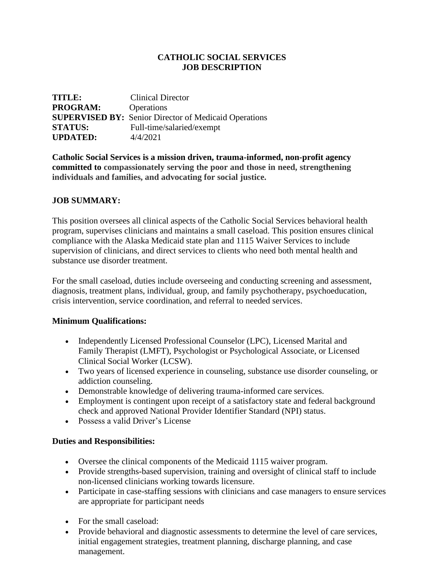### **CATHOLIC SOCIAL SERVICES JOB DESCRIPTION**

| TITLE:          | <b>Clinical Director</b>                                     |
|-----------------|--------------------------------------------------------------|
| <b>PROGRAM:</b> | Operations                                                   |
|                 | <b>SUPERVISED BY:</b> Senior Director of Medicaid Operations |
| <b>STATUS:</b>  | Full-time/salaried/exempt                                    |
| <b>UPDATED:</b> | 4/4/2021                                                     |

**Catholic Social Services is a mission driven, trauma-informed, non-profit agency committed to compassionately serving the poor and those in need, strengthening individuals and families, and advocating for social justice.**

#### **JOB SUMMARY:**

This position oversees all clinical aspects of the Catholic Social Services behavioral health program, supervises clinicians and maintains a small caseload. This position ensures clinical compliance with the Alaska Medicaid state plan and 1115 Waiver Services to include supervision of clinicians, and direct services to clients who need both mental health and substance use disorder treatment.

For the small caseload, duties include overseeing and conducting screening and assessment, diagnosis, treatment plans, individual, group, and family psychotherapy, psychoeducation, crisis intervention, service coordination, and referral to needed services.

#### **Minimum Qualifications:**

- Independently Licensed Professional Counselor (LPC), Licensed Marital and Family Therapist (LMFT), Psychologist or Psychological Associate, or Licensed Clinical Social Worker (LCSW).
- Two years of licensed experience in counseling, substance use disorder counseling, or addiction counseling.
- Demonstrable knowledge of delivering trauma-informed care services.
- Employment is contingent upon receipt of a satisfactory state and federal background check and approved National Provider Identifier Standard (NPI) status.
- Possess a valid Driver's License

#### **Duties and Responsibilities:**

- Oversee the clinical components of the Medicaid 1115 waiver program.
- Provide strengths-based supervision, training and oversight of clinical staff to include non-licensed clinicians working towards licensure.
- Participate in case-staffing sessions with clinicians and case managers to ensure services are appropriate for participant needs
- For the small caseload:
- Provide behavioral and diagnostic assessments to determine the level of care services, initial engagement strategies, treatment planning, discharge planning, and case management.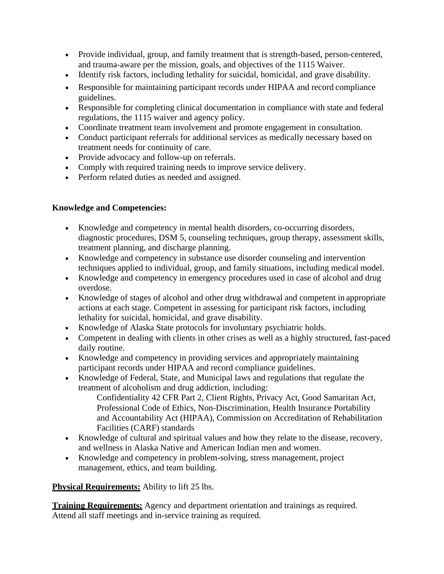- Provide individual, group, and family treatment that is strength-based, person-centered, and trauma-aware per the mission, goals, and objectives of the 1115 Waiver.
- Identify risk factors, including lethality for suicidal, homicidal, and grave disability.
- Responsible for maintaining participant records under HIPAA and record compliance guidelines.
- Responsible for completing clinical documentation in compliance with state and federal regulations, the 1115 waiver and agency policy.
- Coordinate treatment team involvement and promote engagement in consultation.
- Conduct participant referrals for additional services as medically necessary based on treatment needs for continuity of care.
- Provide advocacy and follow-up on referrals.
- Comply with required training needs to improve service delivery.
- Perform related duties as needed and assigned.

# **Knowledge and Competencies:**

- Knowledge and competency in mental health disorders, co-occurring disorders, diagnostic procedures, DSM 5, counseling techniques, group therapy, assessment skills, treatment planning, and discharge planning.
- Knowledge and competency in substance use disorder counseling and intervention techniques applied to individual, group, and family situations, including medical model.
- Knowledge and competency in emergency procedures used in case of alcohol and drug overdose.
- Knowledge of stages of alcohol and other drug withdrawal and competent in appropriate actions at each stage. Competent in assessing for participant risk factors, including lethality for suicidal, homicidal, and grave disability.
- Knowledge of Alaska State protocols for involuntary psychiatric holds.
- Competent in dealing with clients in other crises as well as a highly structured, fast-paced daily routine.
- Knowledge and competency in providing services and appropriately maintaining participant records under HIPAA and record compliance guidelines.
- Knowledge of Federal, State, and Municipal laws and regulations that regulate the treatment of alcoholism and drug addiction, including: Confidentiality 42 CFR Part 2, Client Rights, Privacy Act, Good Samaritan Act, Professional Code of Ethics, Non-Discrimination, Health Insurance Portability
	- and Accountability Act (HIPAA), Commission on Accreditation of Rehabilitation Facilities (CARF) standards
- Knowledge of cultural and spiritual values and how they relate to the disease, recovery, and wellness in Alaska Native and American Indian men and women.
- Knowledge and competency in problem-solving, stress management, project management, ethics, and team building.

## **Physical Requirements:** Ability to lift 25 lbs.

**Training Requirements:** Agency and department orientation and trainings as required. Attend all staff meetings and in-service training as required.